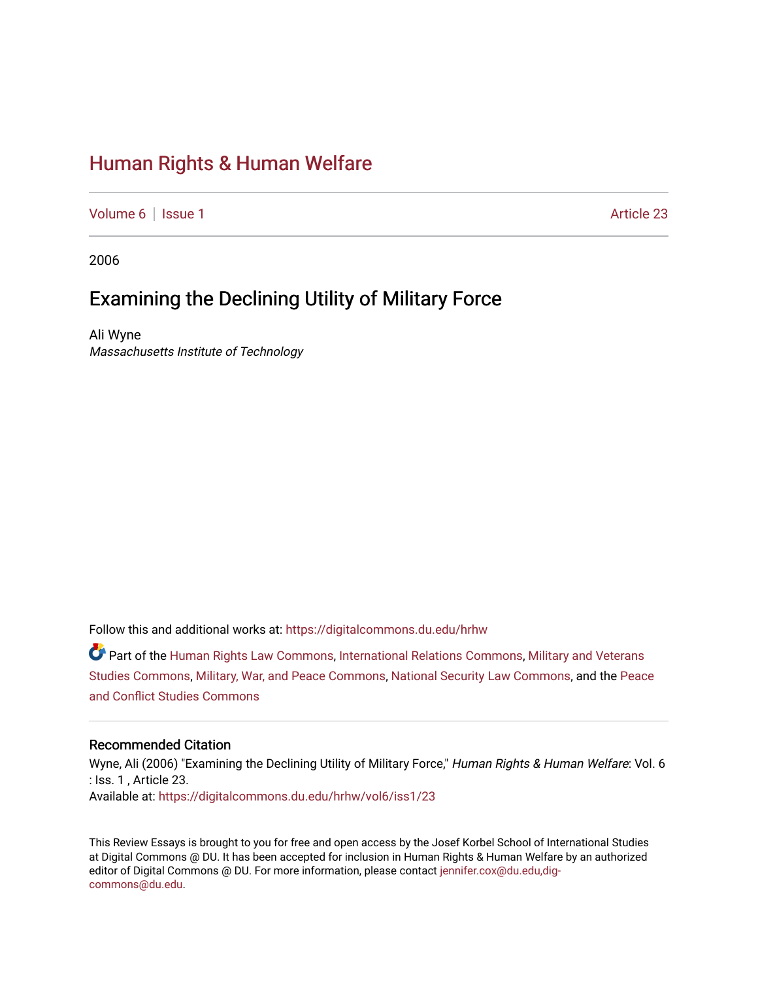# [Human Rights & Human Welfare](https://digitalcommons.du.edu/hrhw)

[Volume 6](https://digitalcommons.du.edu/hrhw/vol6) | [Issue 1](https://digitalcommons.du.edu/hrhw/vol6/iss1) Article 23

2006

## Examining the Declining Utility of Military Force

Ali Wyne Massachusetts Institute of Technology

Follow this and additional works at: [https://digitalcommons.du.edu/hrhw](https://digitalcommons.du.edu/hrhw?utm_source=digitalcommons.du.edu%2Fhrhw%2Fvol6%2Fiss1%2F23&utm_medium=PDF&utm_campaign=PDFCoverPages)

Part of the [Human Rights Law Commons,](http://network.bepress.com/hgg/discipline/847?utm_source=digitalcommons.du.edu%2Fhrhw%2Fvol6%2Fiss1%2F23&utm_medium=PDF&utm_campaign=PDFCoverPages) [International Relations Commons](http://network.bepress.com/hgg/discipline/389?utm_source=digitalcommons.du.edu%2Fhrhw%2Fvol6%2Fiss1%2F23&utm_medium=PDF&utm_campaign=PDFCoverPages), [Military and Veterans](http://network.bepress.com/hgg/discipline/396?utm_source=digitalcommons.du.edu%2Fhrhw%2Fvol6%2Fiss1%2F23&utm_medium=PDF&utm_campaign=PDFCoverPages)  [Studies Commons,](http://network.bepress.com/hgg/discipline/396?utm_source=digitalcommons.du.edu%2Fhrhw%2Fvol6%2Fiss1%2F23&utm_medium=PDF&utm_campaign=PDFCoverPages) [Military, War, and Peace Commons,](http://network.bepress.com/hgg/discipline/861?utm_source=digitalcommons.du.edu%2Fhrhw%2Fvol6%2Fiss1%2F23&utm_medium=PDF&utm_campaign=PDFCoverPages) [National Security Law Commons](http://network.bepress.com/hgg/discipline/1114?utm_source=digitalcommons.du.edu%2Fhrhw%2Fvol6%2Fiss1%2F23&utm_medium=PDF&utm_campaign=PDFCoverPages), and the [Peace](http://network.bepress.com/hgg/discipline/397?utm_source=digitalcommons.du.edu%2Fhrhw%2Fvol6%2Fiss1%2F23&utm_medium=PDF&utm_campaign=PDFCoverPages)  [and Conflict Studies Commons](http://network.bepress.com/hgg/discipline/397?utm_source=digitalcommons.du.edu%2Fhrhw%2Fvol6%2Fiss1%2F23&utm_medium=PDF&utm_campaign=PDFCoverPages) 

#### Recommended Citation

Wyne, Ali (2006) "Examining the Declining Utility of Military Force," Human Rights & Human Welfare: Vol. 6 : Iss. 1 , Article 23. Available at: [https://digitalcommons.du.edu/hrhw/vol6/iss1/23](https://digitalcommons.du.edu/hrhw/vol6/iss1/23?utm_source=digitalcommons.du.edu%2Fhrhw%2Fvol6%2Fiss1%2F23&utm_medium=PDF&utm_campaign=PDFCoverPages) 

This Review Essays is brought to you for free and open access by the Josef Korbel School of International Studies at Digital Commons @ DU. It has been accepted for inclusion in Human Rights & Human Welfare by an authorized editor of Digital Commons @ DU. For more information, please contact [jennifer.cox@du.edu,dig](mailto:jennifer.cox@du.edu,dig-commons@du.edu)[commons@du.edu.](mailto:jennifer.cox@du.edu,dig-commons@du.edu)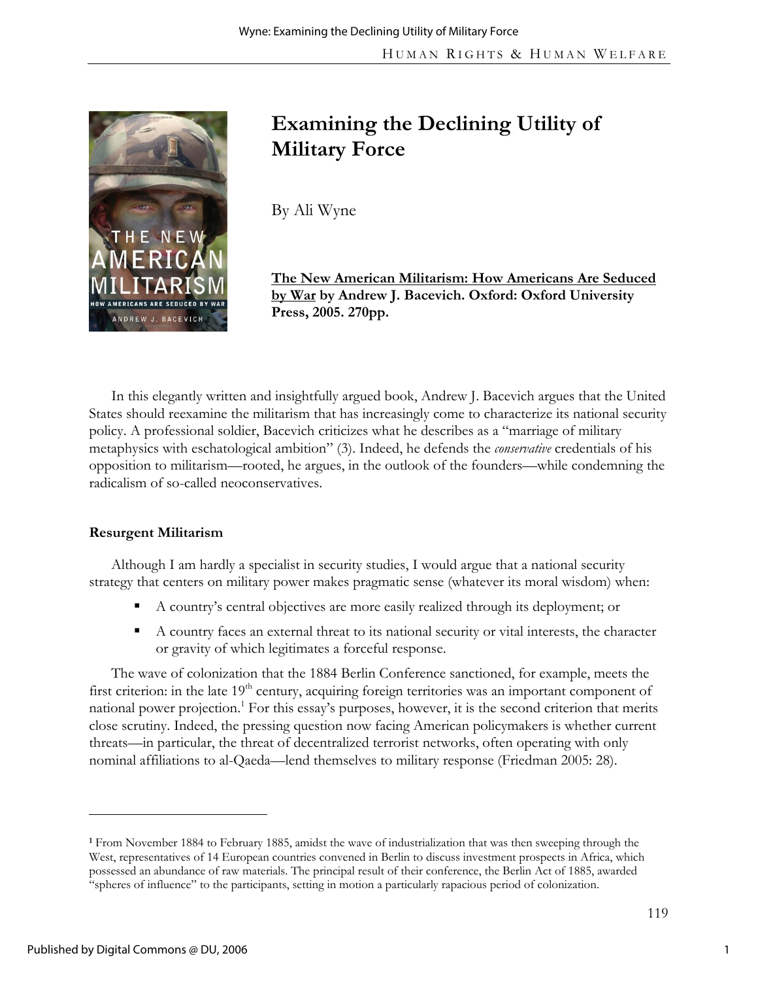

# **Examining the Declining Utility of Military Force**

By Ali Wyne

**The New American Militarism: How Americans Are Seduced by War by Andrew J. Bacevich. Oxford: Oxford University Press, 2005. 270pp.** 

In this elegantly written and insightfully argued book, Andrew J. Bacevich argues that the United States should reexamine the militarism that has increasingly come to characterize its national security policy. A professional soldier, Bacevich criticizes what he describes as a "marriage of military metaphysics with eschatological ambition" (3). Indeed, he defends the *conservative* credentials of his opposition to militarism—rooted, he argues, in the outlook of the founders—while condemning the radicalism of so-called neoconservatives.

## **Resurgent Militarism**

Although I am hardly a specialist in security studies, I would argue that a national security strategy that centers on military power makes pragmatic sense (whatever its moral wisdom) when:

- A country's central objectives are more easily realized through its deployment; or
- A country faces an external threat to its national security or vital interests, the character or gravity of which legitimates a forceful response.

The wave of colonization that the 1884 Berlin Conference sanctioned, for example, meets the first criterion: in the late 19<sup>th</sup> century, acquiring foreign territories was an important component of national power projection.<sup>1</sup> For this essay's purposes, however, it is the second criterion that merits close scrutiny. Indeed, the pressing question now facing American policymakers is whether current threats—in particular, the threat of decentralized terrorist networks, often operating with only nominal affiliations to al-Qaeda—lend themselves to military response (Friedman 2005: 28).

**<sup>1</sup>** From November 1884 to February 1885, amidst the wave of industrialization that was then sweeping through the West, representatives of 14 European countries convened in Berlin to discuss investment prospects in Africa, which possessed an abundance of raw materials. The principal result of their conference, the Berlin Act of 1885, awarded "spheres of influence" to the participants, setting in motion a particularly rapacious period of colonization.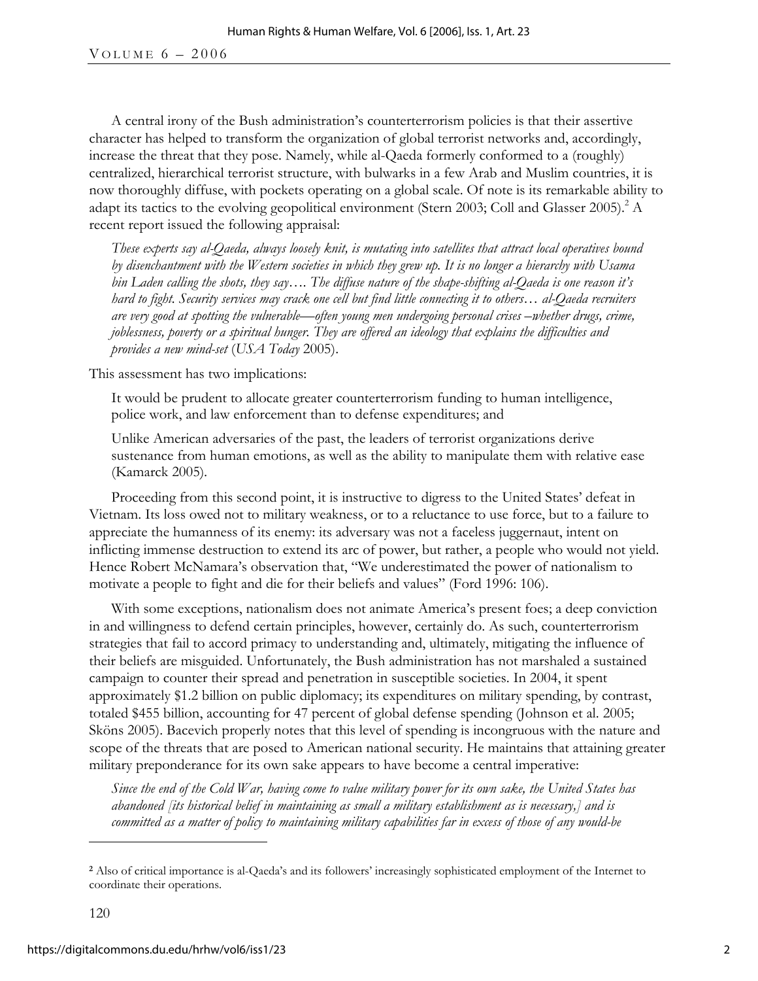A central irony of the Bush administration's counterterrorism policies is that their assertive character has helped to transform the organization of global terrorist networks and, accordingly, increase the threat that they pose. Namely, while al-Qaeda formerly conformed to a (roughly) centralized, hierarchical terrorist structure, with bulwarks in a few Arab and Muslim countries, it is now thoroughly diffuse, with pockets operating on a global scale. Of note is its remarkable ability to adapt its tactics to the evolving geopolitical environment (Stern 2003; Coll and Glasser 2005).<sup>2</sup> A recent report issued the following appraisal:

*These experts say al-Qaeda, always loosely knit, is mutating into satellites that attract local operatives bound by disenchantment with the Western societies in which they grew up. It is no longer a hierarchy with Usama bin Laden calling the shots, they say…. The diffuse nature of the shape-shifting al-Qaeda is one reason it's hard to fight. Security services may crack one cell but find little connecting it to others… al-Qaeda recruiters are very good at spotting the vulnerable—often young men undergoing personal crises –whether drugs, crime, joblessness, poverty or a spiritual hunger. They are offered an ideology that explains the difficulties and provides a new mind-set* (*USA Today* 2005).

This assessment has two implications:

It would be prudent to allocate greater counterterrorism funding to human intelligence, police work, and law enforcement than to defense expenditures; and

Unlike American adversaries of the past, the leaders of terrorist organizations derive sustenance from human emotions, as well as the ability to manipulate them with relative ease (Kamarck 2005)*.* 

Proceeding from this second point, it is instructive to digress to the United States' defeat in Vietnam. Its loss owed not to military weakness, or to a reluctance to use force, but to a failure to appreciate the humanness of its enemy: its adversary was not a faceless juggernaut, intent on inflicting immense destruction to extend its arc of power, but rather, a people who would not yield. Hence Robert McNamara's observation that, "We underestimated the power of nationalism to motivate a people to fight and die for their beliefs and values" (Ford 1996: 106).

With some exceptions, nationalism does not animate America's present foes; a deep conviction in and willingness to defend certain principles, however, certainly do. As such, counterterrorism strategies that fail to accord primacy to understanding and, ultimately, mitigating the influence of their beliefs are misguided. Unfortunately, the Bush administration has not marshaled a sustained campaign to counter their spread and penetration in susceptible societies. In 2004, it spent approximately \$1.2 billion on public diplomacy; its expenditures on military spending, by contrast, totaled \$455 billion, accounting for 47 percent of global defense spending (Johnson et al. 2005; Sköns 2005). Bacevich properly notes that this level of spending is incongruous with the nature and scope of the threats that are posed to American national security. He maintains that attaining greater military preponderance for its own sake appears to have become a central imperative:

*Since the end of the Cold War, having come to value military power for its own sake, the United States has abandoned [its historical belief in maintaining as small a military establishment as is necessary,] and is committed as a matter of policy to maintaining military capabilities far in excess of those of any would-be* 

**<sup>2</sup>** Also of critical importance is al-Qaeda's and its followers' increasingly sophisticated employment of the Internet to coordinate their operations.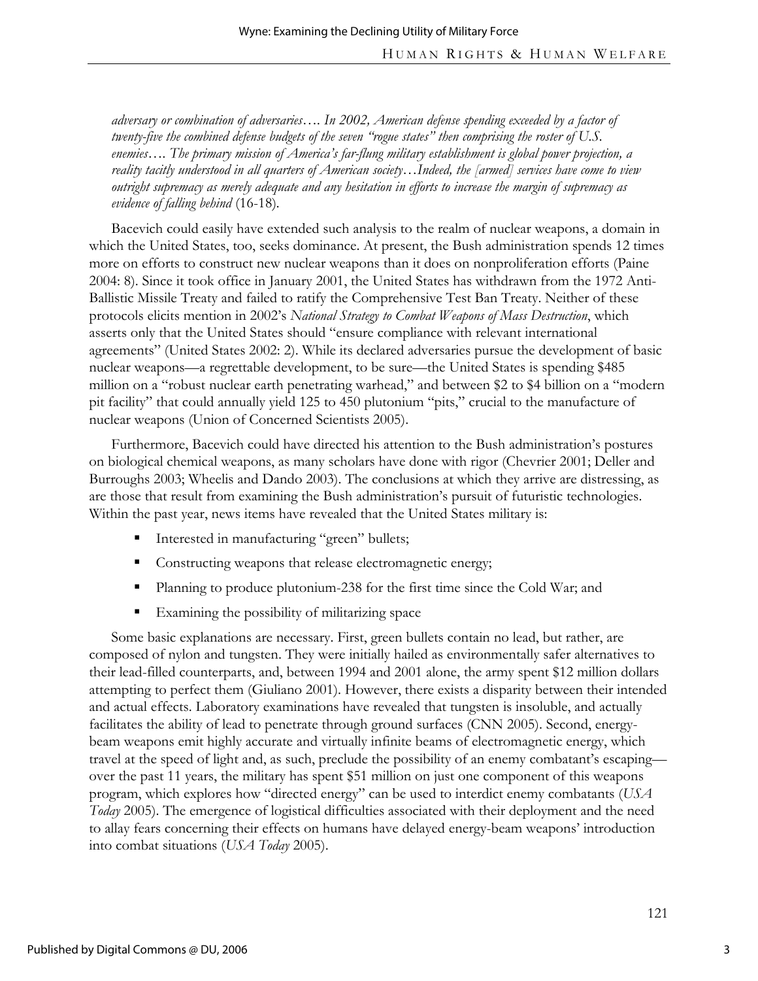*adversary or combination of adversaries…. In 2002, American defense spending exceeded by a factor of twenty-five the combined defense budgets of the seven "rogue states" then comprising the roster of U.S. enemies…. The primary mission of America's far-flung military establishment is global power projection, a reality tacitly understood in all quarters of American society…Indeed, the [armed] services have come to view outright supremacy as merely adequate and any hesitation in efforts to increase the margin of supremacy as evidence of falling behind* (16-18)*.* 

Bacevich could easily have extended such analysis to the realm of nuclear weapons, a domain in which the United States, too, seeks dominance. At present, the Bush administration spends 12 times more on efforts to construct new nuclear weapons than it does on nonproliferation efforts (Paine 2004: 8). Since it took office in January 2001, the United States has withdrawn from the 1972 Anti-Ballistic Missile Treaty and failed to ratify the Comprehensive Test Ban Treaty. Neither of these protocols elicits mention in 2002's *National Strategy to Combat Weapons of Mass Destruction*, which asserts only that the United States should "ensure compliance with relevant international agreements" (United States 2002: 2). While its declared adversaries pursue the development of basic nuclear weapons—a regrettable development, to be sure—the United States is spending \$485 million on a "robust nuclear earth penetrating warhead," and between \$2 to \$4 billion on a "modern pit facility" that could annually yield 125 to 450 plutonium "pits," crucial to the manufacture of nuclear weapons (Union of Concerned Scientists 2005).

Furthermore, Bacevich could have directed his attention to the Bush administration's postures on biological chemical weapons, as many scholars have done with rigor (Chevrier 2001; Deller and Burroughs 2003; Wheelis and Dando 2003). The conclusions at which they arrive are distressing, as are those that result from examining the Bush administration's pursuit of futuristic technologies. Within the past year, news items have revealed that the United States military is:

- Interested in manufacturing "green" bullets;
- Constructing weapons that release electromagnetic energy;
- **Planning to produce plutonium-238 for the first time since the Cold War; and**
- Examining the possibility of militarizing space

Some basic explanations are necessary. First, green bullets contain no lead, but rather, are composed of nylon and tungsten. They were initially hailed as environmentally safer alternatives to their lead-filled counterparts, and, between 1994 and 2001 alone, the army spent \$12 million dollars attempting to perfect them (Giuliano 2001). However, there exists a disparity between their intended and actual effects. Laboratory examinations have revealed that tungsten is insoluble, and actually facilitates the ability of lead to penetrate through ground surfaces (CNN 2005). Second, energybeam weapons emit highly accurate and virtually infinite beams of electromagnetic energy, which travel at the speed of light and, as such, preclude the possibility of an enemy combatant's escaping over the past 11 years, the military has spent \$51 million on just one component of this weapons program, which explores how "directed energy" can be used to interdict enemy combatants (*USA Today* 2005). The emergence of logistical difficulties associated with their deployment and the need to allay fears concerning their effects on humans have delayed energy-beam weapons' introduction into combat situations (*USA Today* 2005).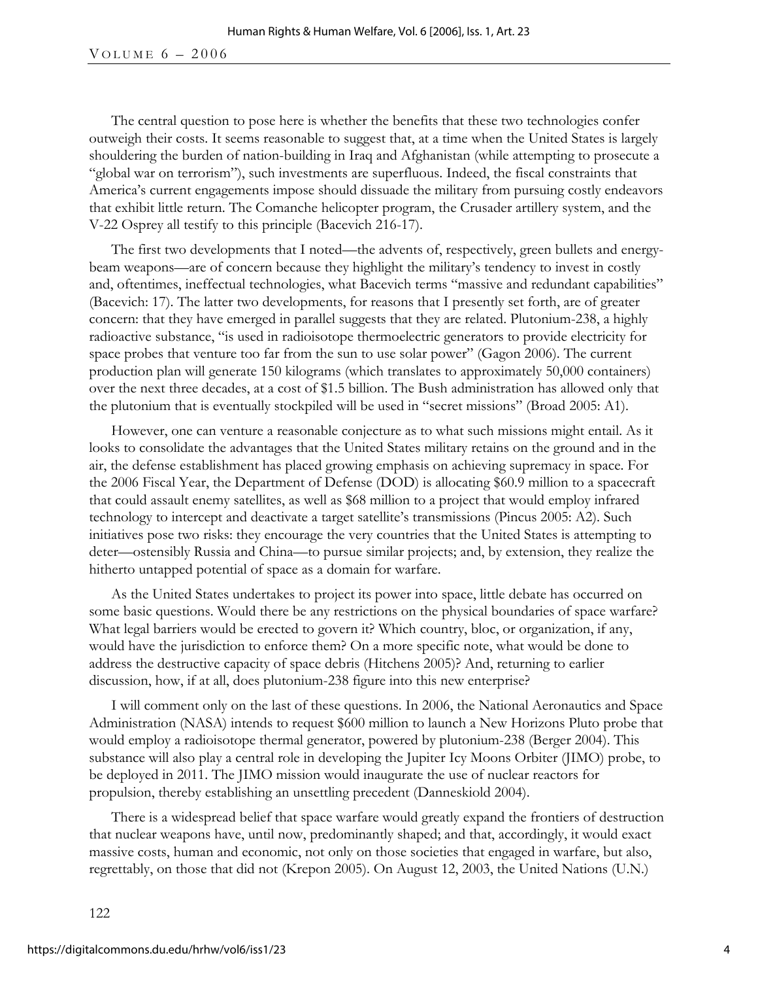VOLUME  $6 - 2006$ 

The central question to pose here is whether the benefits that these two technologies confer outweigh their costs. It seems reasonable to suggest that, at a time when the United States is largely shouldering the burden of nation-building in Iraq and Afghanistan (while attempting to prosecute a "global war on terrorism"), such investments are superfluous. Indeed, the fiscal constraints that America's current engagements impose should dissuade the military from pursuing costly endeavors that exhibit little return. The Comanche helicopter program, the Crusader artillery system, and the V-22 Osprey all testify to this principle (Bacevich 216-17).

The first two developments that I noted—the advents of, respectively, green bullets and energybeam weapons—are of concern because they highlight the military's tendency to invest in costly and, oftentimes, ineffectual technologies, what Bacevich terms "massive and redundant capabilities" (Bacevich: 17). The latter two developments, for reasons that I presently set forth, are of greater concern: that they have emerged in parallel suggests that they are related. Plutonium-238, a highly radioactive substance, "is used in radioisotope thermoelectric generators to provide electricity for space probes that venture too far from the sun to use solar power" (Gagon 2006). The current production plan will generate 150 kilograms (which translates to approximately 50,000 containers) over the next three decades, at a cost of \$1.5 billion. The Bush administration has allowed only that the plutonium that is eventually stockpiled will be used in "secret missions" (Broad 2005: A1).

However, one can venture a reasonable conjecture as to what such missions might entail. As it looks to consolidate the advantages that the United States military retains on the ground and in the air, the defense establishment has placed growing emphasis on achieving supremacy in space. For the 2006 Fiscal Year, the Department of Defense (DOD) is allocating \$60.9 million to a spacecraft that could assault enemy satellites, as well as \$68 million to a project that would employ infrared technology to intercept and deactivate a target satellite's transmissions (Pincus 2005: A2). Such initiatives pose two risks: they encourage the very countries that the United States is attempting to deter—ostensibly Russia and China—to pursue similar projects; and, by extension, they realize the hitherto untapped potential of space as a domain for warfare.

As the United States undertakes to project its power into space, little debate has occurred on some basic questions. Would there be any restrictions on the physical boundaries of space warfare? What legal barriers would be erected to govern it? Which country, bloc, or organization, if any, would have the jurisdiction to enforce them? On a more specific note, what would be done to address the destructive capacity of space debris (Hitchens 2005)? And, returning to earlier discussion, how, if at all, does plutonium-238 figure into this new enterprise?

I will comment only on the last of these questions. In 2006, the National Aeronautics and Space Administration (NASA) intends to request \$600 million to launch a New Horizons Pluto probe that would employ a radioisotope thermal generator, powered by plutonium-238 (Berger 2004). This substance will also play a central role in developing the Jupiter Icy Moons Orbiter (JIMO) probe, to be deployed in 2011. The JIMO mission would inaugurate the use of nuclear reactors for propulsion, thereby establishing an unsettling precedent (Danneskiold 2004).

There is a widespread belief that space warfare would greatly expand the frontiers of destruction that nuclear weapons have, until now, predominantly shaped; and that, accordingly, it would exact massive costs, human and economic, not only on those societies that engaged in warfare, but also, regrettably, on those that did not (Krepon 2005). On August 12, 2003, the United Nations (U.N.)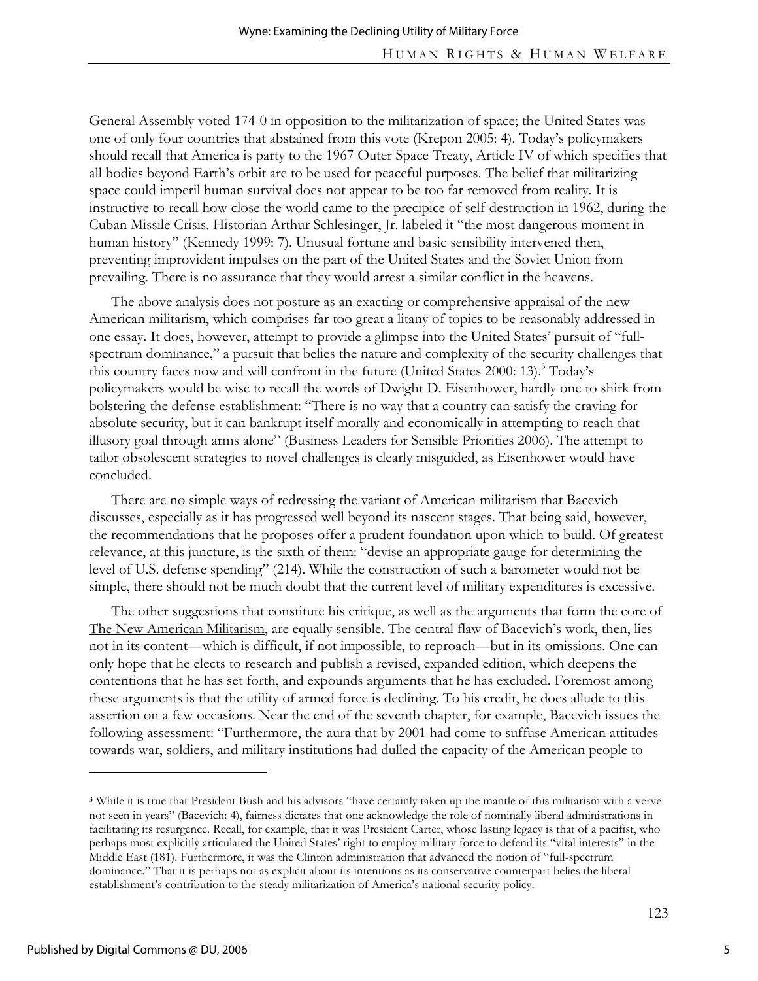General Assembly voted 174-0 in opposition to the militarization of space; the United States was one of only four countries that abstained from this vote (Krepon 2005: 4). Today's policymakers should recall that America is party to the 1967 Outer Space Treaty, Article IV of which specifies that all bodies beyond Earth's orbit are to be used for peaceful purposes. The belief that militarizing space could imperil human survival does not appear to be too far removed from reality. It is instructive to recall how close the world came to the precipice of self-destruction in 1962, during the Cuban Missile Crisis. Historian Arthur Schlesinger, Jr. labeled it "the most dangerous moment in human history" (Kennedy 1999: 7). Unusual fortune and basic sensibility intervened then, preventing improvident impulses on the part of the United States and the Soviet Union from prevailing. There is no assurance that they would arrest a similar conflict in the heavens.

The above analysis does not posture as an exacting or comprehensive appraisal of the new American militarism, which comprises far too great a litany of topics to be reasonably addressed in one essay. It does, however, attempt to provide a glimpse into the United States' pursuit of "fullspectrum dominance," a pursuit that belies the nature and complexity of the security challenges that this country faces now and will confront in the future (United States 2000: 13).<sup>3</sup> Today's policymakers would be wise to recall the words of Dwight D. Eisenhower, hardly one to shirk from bolstering the defense establishment: "There is no way that a country can satisfy the craving for absolute security, but it can bankrupt itself morally and economically in attempting to reach that illusory goal through arms alone" (Business Leaders for Sensible Priorities 2006). The attempt to tailor obsolescent strategies to novel challenges is clearly misguided, as Eisenhower would have concluded.

There are no simple ways of redressing the variant of American militarism that Bacevich discusses, especially as it has progressed well beyond its nascent stages. That being said, however, the recommendations that he proposes offer a prudent foundation upon which to build. Of greatest relevance, at this juncture, is the sixth of them: "devise an appropriate gauge for determining the level of U.S. defense spending" (214). While the construction of such a barometer would not be simple, there should not be much doubt that the current level of military expenditures is excessive.

The other suggestions that constitute his critique, as well as the arguments that form the core of The New American Militarism, are equally sensible. The central flaw of Bacevich's work, then, lies not in its content—which is difficult, if not impossible, to reproach—but in its omissions. One can only hope that he elects to research and publish a revised, expanded edition, which deepens the contentions that he has set forth, and expounds arguments that he has excluded. Foremost among these arguments is that the utility of armed force is declining. To his credit, he does allude to this assertion on a few occasions. Near the end of the seventh chapter, for example, Bacevich issues the following assessment: "Furthermore, the aura that by 2001 had come to suffuse American attitudes towards war, soldiers, and military institutions had dulled the capacity of the American people to

-

**<sup>3</sup>** While it is true that President Bush and his advisors "have certainly taken up the mantle of this militarism with a verve not seen in years" (Bacevich: 4), fairness dictates that one acknowledge the role of nominally liberal administrations in facilitating its resurgence. Recall, for example, that it was President Carter, whose lasting legacy is that of a pacifist, who perhaps most explicitly articulated the United States' right to employ military force to defend its "vital interests" in the Middle East (181). Furthermore, it was the Clinton administration that advanced the notion of "full-spectrum dominance." That it is perhaps not as explicit about its intentions as its conservative counterpart belies the liberal establishment's contribution to the steady militarization of America's national security policy.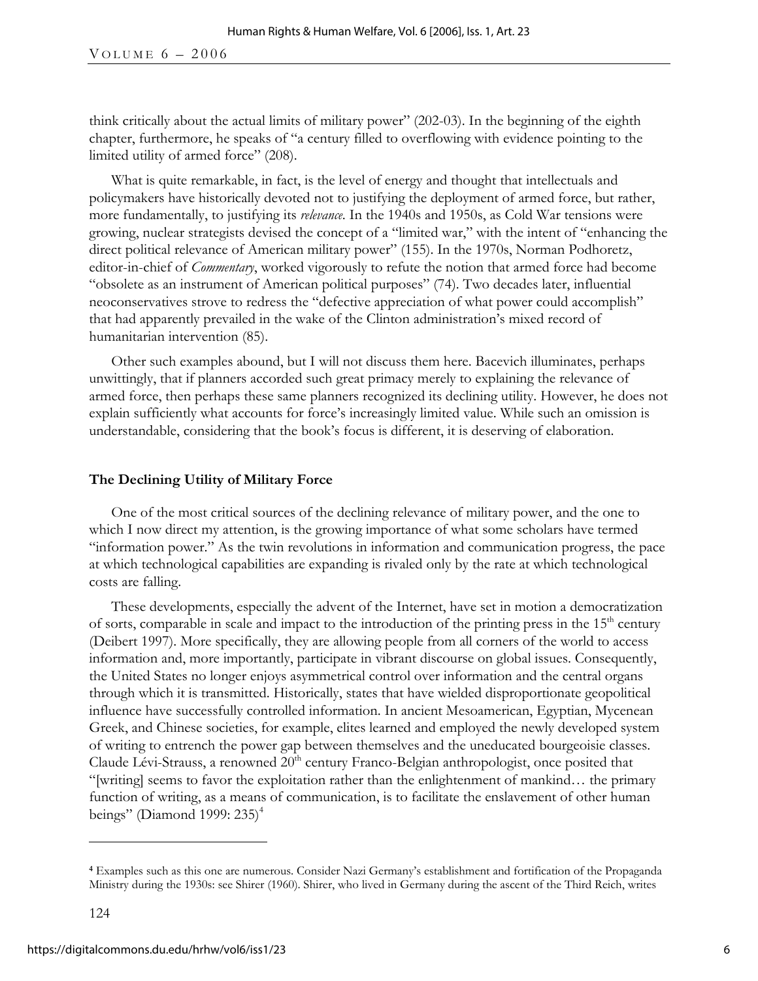think critically about the actual limits of military power" (202-03). In the beginning of the eighth chapter, furthermore, he speaks of "a century filled to overflowing with evidence pointing to the limited utility of armed force" (208).

What is quite remarkable, in fact, is the level of energy and thought that intellectuals and policymakers have historically devoted not to justifying the deployment of armed force, but rather, more fundamentally, to justifying its *relevance*. In the 1940s and 1950s, as Cold War tensions were growing, nuclear strategists devised the concept of a "limited war," with the intent of "enhancing the direct political relevance of American military power" (155). In the 1970s, Norman Podhoretz, editor-in-chief of *Commentary*, worked vigorously to refute the notion that armed force had become "obsolete as an instrument of American political purposes" (74). Two decades later, influential neoconservatives strove to redress the "defective appreciation of what power could accomplish" that had apparently prevailed in the wake of the Clinton administration's mixed record of humanitarian intervention (85).

Other such examples abound, but I will not discuss them here. Bacevich illuminates, perhaps unwittingly, that if planners accorded such great primacy merely to explaining the relevance of armed force, then perhaps these same planners recognized its declining utility. However, he does not explain sufficiently what accounts for force's increasingly limited value. While such an omission is understandable, considering that the book's focus is different, it is deserving of elaboration.

### **The Declining Utility of Military Force**

One of the most critical sources of the declining relevance of military power, and the one to which I now direct my attention, is the growing importance of what some scholars have termed "information power." As the twin revolutions in information and communication progress, the pace at which technological capabilities are expanding is rivaled only by the rate at which technological costs are falling.

These developments, especially the advent of the Internet, have set in motion a democratization of sorts, comparable in scale and impact to the introduction of the printing press in the  $15<sup>th</sup>$  century (Deibert 1997). More specifically, they are allowing people from all corners of the world to access information and, more importantly, participate in vibrant discourse on global issues. Consequently, the United States no longer enjoys asymmetrical control over information and the central organs through which it is transmitted. Historically, states that have wielded disproportionate geopolitical influence have successfully controlled information. In ancient Mesoamerican, Egyptian, Mycenean Greek, and Chinese societies, for example, elites learned and employed the newly developed system of writing to entrench the power gap between themselves and the uneducated bourgeoisie classes. Claude Lévi-Strauss, a renowned 20<sup>th</sup> century Franco-Belgian anthropologist, once posited that "[writing] seems to favor the exploitation rather than the enlightenment of mankind… the primary function of writing, as a means of communication, is to facilitate the enslavement of other human beings" (Diamond 1999: 235)<sup>4</sup>

**<sup>4</sup>** Examples such as this one are numerous. Consider Nazi Germany's establishment and fortification of the Propaganda Ministry during the 1930s: see Shirer (1960). Shirer, who lived in Germany during the ascent of the Third Reich, writes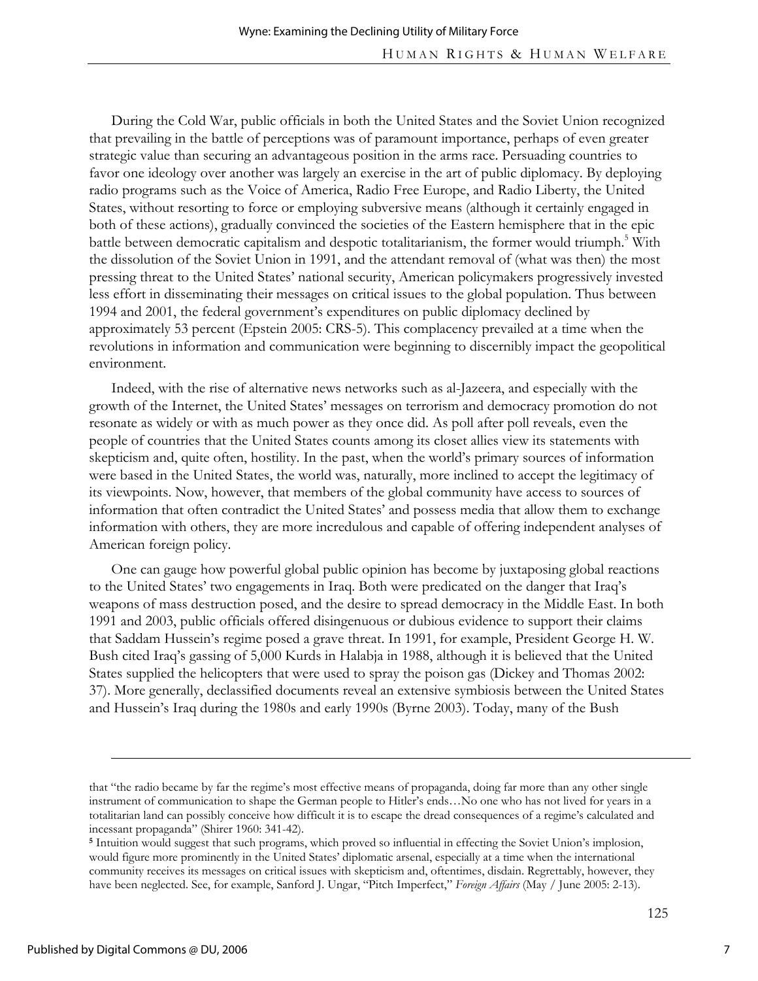During the Cold War, public officials in both the United States and the Soviet Union recognized that prevailing in the battle of perceptions was of paramount importance, perhaps of even greater strategic value than securing an advantageous position in the arms race. Persuading countries to favor one ideology over another was largely an exercise in the art of public diplomacy. By deploying radio programs such as the Voice of America, Radio Free Europe, and Radio Liberty, the United States, without resorting to force or employing subversive means (although it certainly engaged in both of these actions), gradually convinced the societies of the Eastern hemisphere that in the epic battle between democratic capitalism and despotic totalitarianism, the former would triumph.<sup>5</sup> With the dissolution of the Soviet Union in 1991, and the attendant removal of (what was then) the most pressing threat to the United States' national security, American policymakers progressively invested less effort in disseminating their messages on critical issues to the global population. Thus between 1994 and 2001, the federal government's expenditures on public diplomacy declined by approximately 53 percent (Epstein 2005: CRS-5). This complacency prevailed at a time when the revolutions in information and communication were beginning to discernibly impact the geopolitical environment.

Indeed, with the rise of alternative news networks such as al-Jazeera, and especially with the growth of the Internet, the United States' messages on terrorism and democracy promotion do not resonate as widely or with as much power as they once did. As poll after poll reveals, even the people of countries that the United States counts among its closet allies view its statements with skepticism and, quite often, hostility. In the past, when the world's primary sources of information were based in the United States, the world was, naturally, more inclined to accept the legitimacy of its viewpoints. Now, however, that members of the global community have access to sources of information that often contradict the United States' and possess media that allow them to exchange information with others, they are more incredulous and capable of offering independent analyses of American foreign policy.

One can gauge how powerful global public opinion has become by juxtaposing global reactions to the United States' two engagements in Iraq. Both were predicated on the danger that Iraq's weapons of mass destruction posed, and the desire to spread democracy in the Middle East. In both 1991 and 2003, public officials offered disingenuous or dubious evidence to support their claims that Saddam Hussein's regime posed a grave threat. In 1991, for example, President George H. W. Bush cited Iraq's gassing of 5,000 Kurds in Halabja in 1988, although it is believed that the United States supplied the helicopters that were used to spray the poison gas (Dickey and Thomas 2002: 37). More generally, declassified documents reveal an extensive symbiosis between the United States and Hussein's Iraq during the 1980s and early 1990s (Byrne 2003). Today, many of the Bush

that "the radio became by far the regime's most effective means of propaganda, doing far more than any other single instrument of communication to shape the German people to Hitler's ends…No one who has not lived for years in a totalitarian land can possibly conceive how difficult it is to escape the dread consequences of a regime's calculated and incessant propaganda" (Shirer 1960: 341-42).

**<sup>5</sup>** Intuition would suggest that such programs, which proved so influential in effecting the Soviet Union's implosion, would figure more prominently in the United States' diplomatic arsenal, especially at a time when the international community receives its messages on critical issues with skepticism and, oftentimes, disdain. Regrettably, however, they have been neglected. See, for example, Sanford J. Ungar, "Pitch Imperfect," *Foreign Affairs* (May / June 2005: 2-13).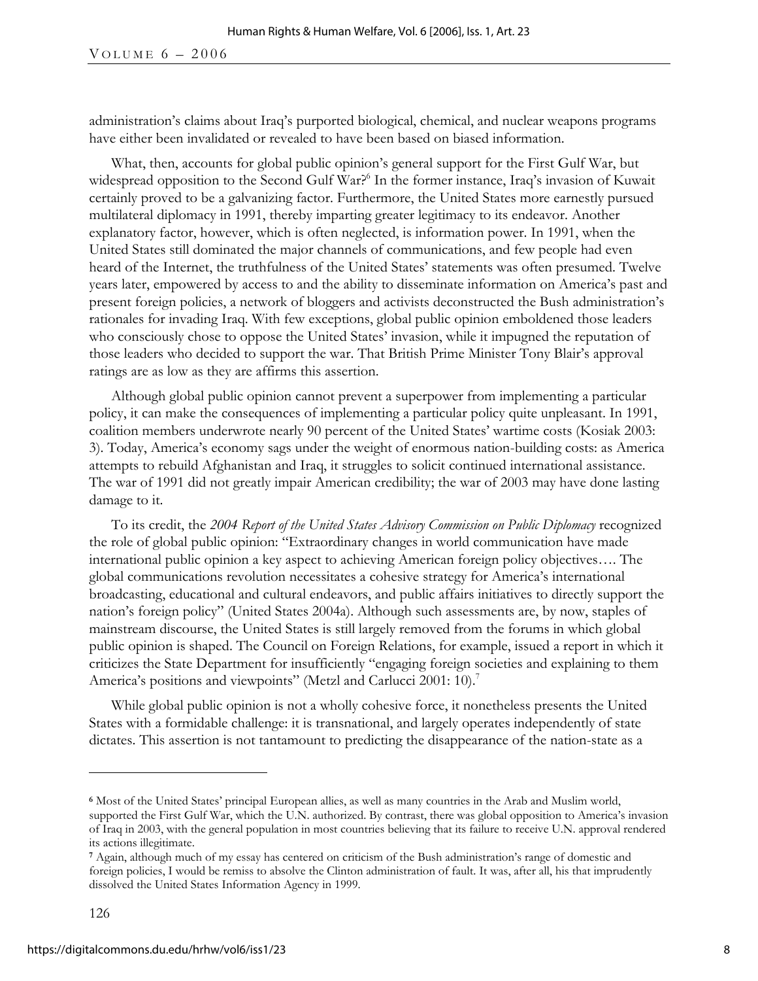administration's claims about Iraq's purported biological, chemical, and nuclear weapons programs have either been invalidated or revealed to have been based on biased information.

What, then, accounts for global public opinion's general support for the First Gulf War, but widespread opposition to the Second Gulf War?<sup>6</sup> In the former instance, Iraq's invasion of Kuwait certainly proved to be a galvanizing factor. Furthermore, the United States more earnestly pursued multilateral diplomacy in 1991, thereby imparting greater legitimacy to its endeavor. Another explanatory factor, however, which is often neglected, is information power. In 1991, when the United States still dominated the major channels of communications, and few people had even heard of the Internet, the truthfulness of the United States' statements was often presumed. Twelve years later, empowered by access to and the ability to disseminate information on America's past and present foreign policies, a network of bloggers and activists deconstructed the Bush administration's rationales for invading Iraq. With few exceptions, global public opinion emboldened those leaders who consciously chose to oppose the United States' invasion, while it impugned the reputation of those leaders who decided to support the war. That British Prime Minister Tony Blair's approval ratings are as low as they are affirms this assertion.

Although global public opinion cannot prevent a superpower from implementing a particular policy, it can make the consequences of implementing a particular policy quite unpleasant. In 1991, coalition members underwrote nearly 90 percent of the United States' wartime costs (Kosiak 2003: 3). Today, America's economy sags under the weight of enormous nation-building costs: as America attempts to rebuild Afghanistan and Iraq, it struggles to solicit continued international assistance. The war of 1991 did not greatly impair American credibility; the war of 2003 may have done lasting damage to it.

To its credit, the *2004 Report of the United States Advisory Commission on Public Diplomacy* recognized the role of global public opinion: "Extraordinary changes in world communication have made international public opinion a key aspect to achieving American foreign policy objectives…. The global communications revolution necessitates a cohesive strategy for America's international broadcasting, educational and cultural endeavors, and public affairs initiatives to directly support the nation's foreign policy" (United States 2004a). Although such assessments are, by now, staples of mainstream discourse, the United States is still largely removed from the forums in which global public opinion is shaped. The Council on Foreign Relations, for example, issued a report in which it criticizes the State Department for insufficiently "engaging foreign societies and explaining to them America's positions and viewpoints" (Metzl and Carlucci 2001: 10).<sup>7</sup>

While global public opinion is not a wholly cohesive force, it nonetheless presents the United States with a formidable challenge: it is transnational, and largely operates independently of state dictates. This assertion is not tantamount to predicting the disappearance of the nation-state as a

**<sup>6</sup>** Most of the United States' principal European allies, as well as many countries in the Arab and Muslim world, supported the First Gulf War, which the U.N. authorized. By contrast, there was global opposition to America's invasion of Iraq in 2003, with the general population in most countries believing that its failure to receive U.N. approval rendered its actions illegitimate.

**<sup>7</sup>** Again, although much of my essay has centered on criticism of the Bush administration's range of domestic and foreign policies, I would be remiss to absolve the Clinton administration of fault. It was, after all, his that imprudently dissolved the United States Information Agency in 1999.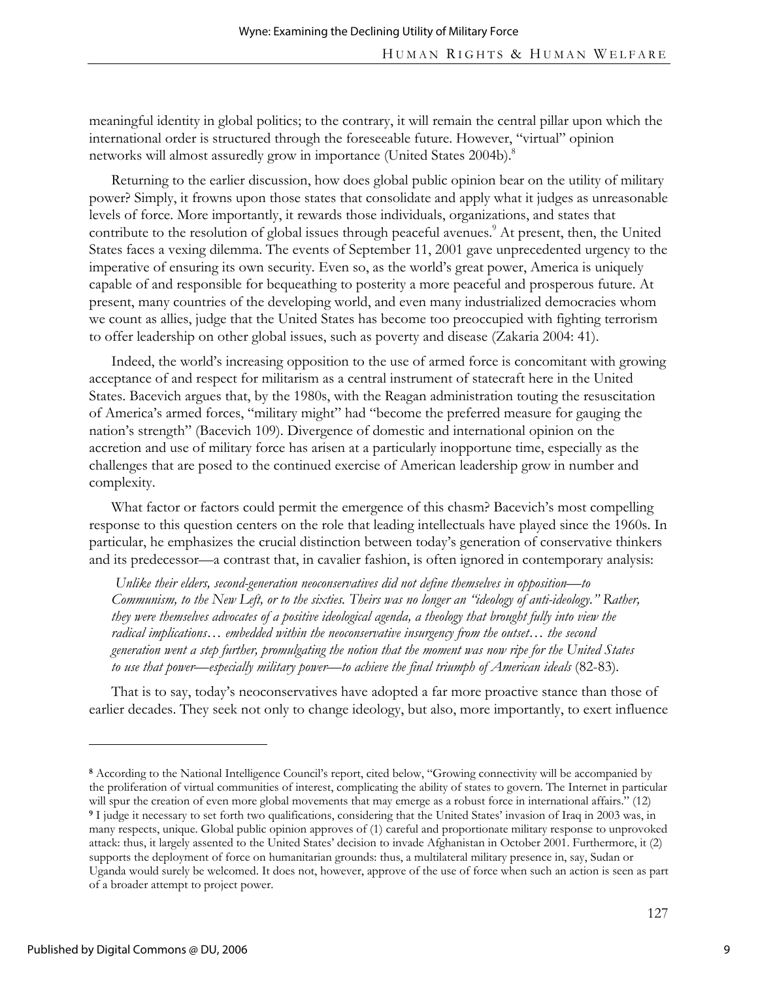meaningful identity in global politics; to the contrary, it will remain the central pillar upon which the international order is structured through the foreseeable future. However, "virtual" opinion networks will almost assuredly grow in importance (United States 2004b).<sup>8</sup>

Returning to the earlier discussion, how does global public opinion bear on the utility of military power? Simply, it frowns upon those states that consolidate and apply what it judges as unreasonable levels of force. More importantly, it rewards those individuals, organizations, and states that contribute to the resolution of global issues through peaceful avenues.<sup>9</sup> At present, then, the United States faces a vexing dilemma. The events of September 11, 2001 gave unprecedented urgency to the imperative of ensuring its own security. Even so, as the world's great power, America is uniquely capable of and responsible for bequeathing to posterity a more peaceful and prosperous future. At present, many countries of the developing world, and even many industrialized democracies whom we count as allies, judge that the United States has become too preoccupied with fighting terrorism to offer leadership on other global issues, such as poverty and disease (Zakaria 2004: 41).

Indeed, the world's increasing opposition to the use of armed force is concomitant with growing acceptance of and respect for militarism as a central instrument of statecraft here in the United States. Bacevich argues that, by the 1980s, with the Reagan administration touting the resuscitation of America's armed forces, "military might" had "become the preferred measure for gauging the nation's strength" (Bacevich 109). Divergence of domestic and international opinion on the accretion and use of military force has arisen at a particularly inopportune time, especially as the challenges that are posed to the continued exercise of American leadership grow in number and complexity.

What factor or factors could permit the emergence of this chasm? Bacevich's most compelling response to this question centers on the role that leading intellectuals have played since the 1960s. In particular, he emphasizes the crucial distinction between today's generation of conservative thinkers and its predecessor—a contrast that, in cavalier fashion, is often ignored in contemporary analysis:

 *Unlike their elders, second-generation neoconservatives did not define themselves in opposition—to Communism, to the New Left, or to the sixties. Theirs was no longer an "ideology of anti-ideology." Rather, they were themselves advocates of a positive ideological agenda, a theology that brought fully into view the radical implications… embedded within the neoconservative insurgency from the outset… the second generation went a step further, promulgating the notion that the moment was now ripe for the United States*  to use that power—especially military power—to achieve the final triumph of American ideals (82-83).

That is to say, today's neoconservatives have adopted a far more proactive stance than those of earlier decades. They seek not only to change ideology, but also, more importantly, to exert influence

**<sup>8</sup>** According to the National Intelligence Council's report, cited below, "Growing connectivity will be accompanied by the proliferation of virtual communities of interest, complicating the ability of states to govern. The Internet in particular will spur the creation of even more global movements that may emerge as a robust force in international affairs." (12) **<sup>9</sup>** I judge it necessary to set forth two qualifications, considering that the United States' invasion of Iraq in 2003 was, in many respects, unique. Global public opinion approves of (1) careful and proportionate military response to unprovoked attack: thus, it largely assented to the United States' decision to invade Afghanistan in October 2001. Furthermore, it (2) supports the deployment of force on humanitarian grounds: thus, a multilateral military presence in, say, Sudan or Uganda would surely be welcomed. It does not, however, approve of the use of force when such an action is seen as part of a broader attempt to project power.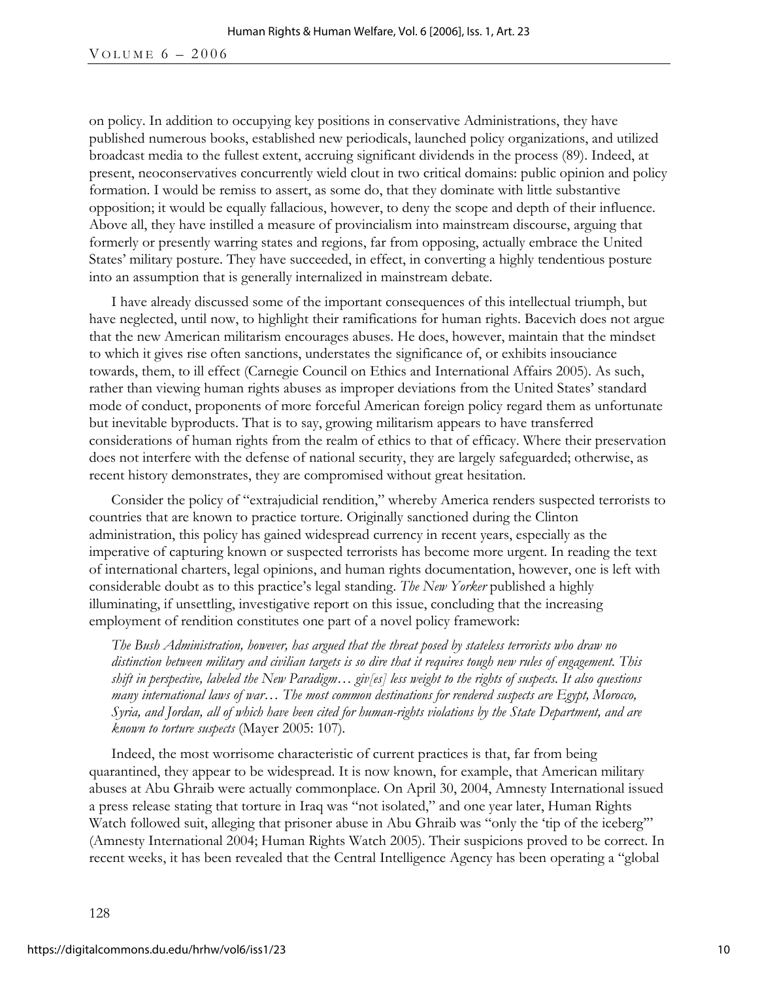on policy. In addition to occupying key positions in conservative Administrations, they have published numerous books, established new periodicals, launched policy organizations, and utilized broadcast media to the fullest extent, accruing significant dividends in the process (89). Indeed, at present, neoconservatives concurrently wield clout in two critical domains: public opinion and policy formation. I would be remiss to assert, as some do, that they dominate with little substantive opposition; it would be equally fallacious, however, to deny the scope and depth of their influence. Above all, they have instilled a measure of provincialism into mainstream discourse, arguing that formerly or presently warring states and regions, far from opposing, actually embrace the United States' military posture. They have succeeded, in effect, in converting a highly tendentious posture into an assumption that is generally internalized in mainstream debate.

I have already discussed some of the important consequences of this intellectual triumph, but have neglected, until now, to highlight their ramifications for human rights. Bacevich does not argue that the new American militarism encourages abuses. He does, however, maintain that the mindset to which it gives rise often sanctions, understates the significance of, or exhibits insouciance towards, them, to ill effect (Carnegie Council on Ethics and International Affairs 2005). As such, rather than viewing human rights abuses as improper deviations from the United States' standard mode of conduct, proponents of more forceful American foreign policy regard them as unfortunate but inevitable byproducts. That is to say, growing militarism appears to have transferred considerations of human rights from the realm of ethics to that of efficacy. Where their preservation does not interfere with the defense of national security, they are largely safeguarded; otherwise, as recent history demonstrates, they are compromised without great hesitation.

Consider the policy of "extrajudicial rendition," whereby America renders suspected terrorists to countries that are known to practice torture. Originally sanctioned during the Clinton administration, this policy has gained widespread currency in recent years, especially as the imperative of capturing known or suspected terrorists has become more urgent. In reading the text of international charters, legal opinions, and human rights documentation, however, one is left with considerable doubt as to this practice's legal standing. *The New Yorker* published a highly illuminating, if unsettling, investigative report on this issue, concluding that the increasing employment of rendition constitutes one part of a novel policy framework:

*The Bush Administration, however, has argued that the threat posed by stateless terrorists who draw no distinction between military and civilian targets is so dire that it requires tough new rules of engagement. This shift in perspective, labeled the New Paradigm… giv[es] less weight to the rights of suspects. It also questions many international laws of war… The most common destinations for rendered suspects are Egypt, Morocco, Syria, and Jordan, all of which have been cited for human-rights violations by the State Department, and are known to torture suspects* (Mayer 2005: 107)*.*

Indeed, the most worrisome characteristic of current practices is that, far from being quarantined, they appear to be widespread. It is now known, for example, that American military abuses at Abu Ghraib were actually commonplace. On April 30, 2004, Amnesty International issued a press release stating that torture in Iraq was "not isolated," and one year later, Human Rights Watch followed suit, alleging that prisoner abuse in Abu Ghraib was "only the 'tip of the iceberg'" (Amnesty International 2004; Human Rights Watch 2005). Their suspicions proved to be correct. In recent weeks, it has been revealed that the Central Intelligence Agency has been operating a "global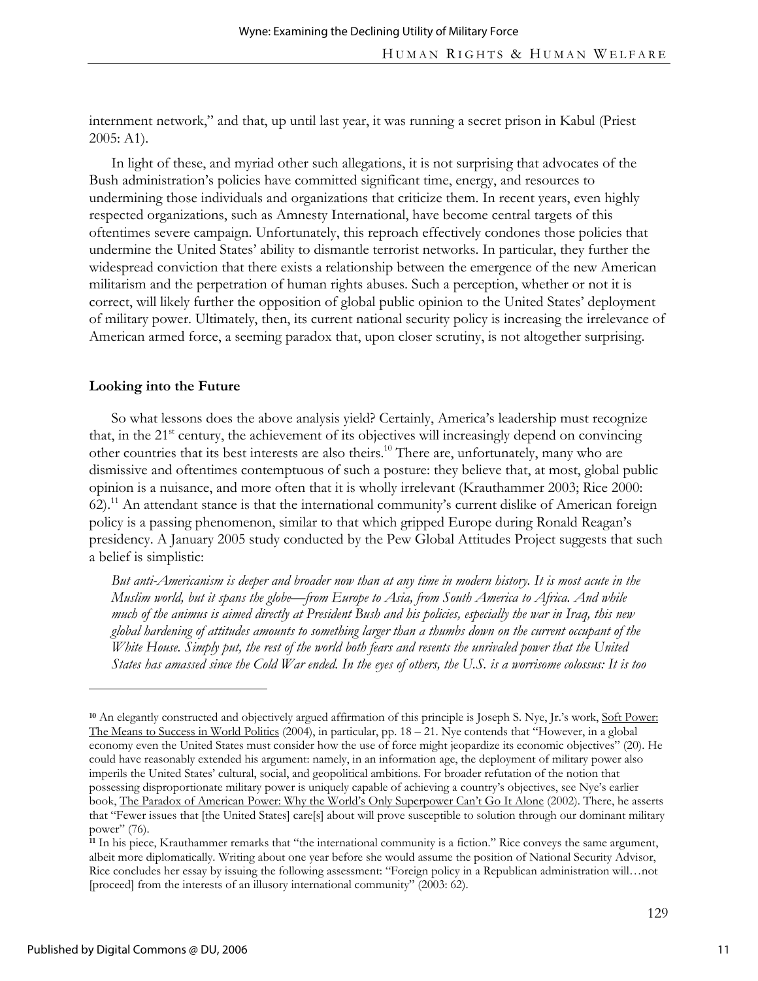internment network," and that, up until last year, it was running a secret prison in Kabul (Priest 2005: A1).

In light of these, and myriad other such allegations, it is not surprising that advocates of the Bush administration's policies have committed significant time, energy, and resources to undermining those individuals and organizations that criticize them. In recent years, even highly respected organizations, such as Amnesty International, have become central targets of this oftentimes severe campaign. Unfortunately, this reproach effectively condones those policies that undermine the United States' ability to dismantle terrorist networks. In particular, they further the widespread conviction that there exists a relationship between the emergence of the new American militarism and the perpetration of human rights abuses. Such a perception, whether or not it is correct, will likely further the opposition of global public opinion to the United States' deployment of military power. Ultimately, then, its current national security policy is increasing the irrelevance of American armed force, a seeming paradox that, upon closer scrutiny, is not altogether surprising.

#### **Looking into the Future**

So what lessons does the above analysis yield? Certainly, America's leadership must recognize that, in the 21<sup>st</sup> century, the achievement of its objectives will increasingly depend on convincing other countries that its best interests are also theirs.<sup>10</sup> There are, unfortunately, many who are dismissive and oftentimes contemptuous of such a posture: they believe that, at most, global public opinion is a nuisance, and more often that it is wholly irrelevant (Krauthammer 2003; Rice 2000: 62).11 An attendant stance is that the international community's current dislike of American foreign policy is a passing phenomenon, similar to that which gripped Europe during Ronald Reagan's presidency. A January 2005 study conducted by the Pew Global Attitudes Project suggests that such a belief is simplistic:

*But anti-Americanism is deeper and broader now than at any time in modern history. It is most acute in the Muslim world, but it spans the globe—from Europe to Asia, from South America to Africa. And while much of the animus is aimed directly at President Bush and his policies, especially the war in Iraq, this new global hardening of attitudes amounts to something larger than a thumbs down on the current occupant of the White House. Simply put, the rest of the world both fears and resents the unrivaled power that the United States has amassed since the Cold War ended. In the eyes of others, the U.S. is a worrisome colossus: It is too* 

**<sup>10</sup>** An elegantly constructed and objectively argued affirmation of this principle is Joseph S. Nye, Jr.'s work, Soft Power: The Means to Success in World Politics (2004), in particular, pp. 18 – 21. Nye contends that "However, in a global economy even the United States must consider how the use of force might jeopardize its economic objectives" (20). He could have reasonably extended his argument: namely, in an information age, the deployment of military power also imperils the United States' cultural, social, and geopolitical ambitions. For broader refutation of the notion that possessing disproportionate military power is uniquely capable of achieving a country's objectives, see Nye's earlier book, The Paradox of American Power: Why the World's Only Superpower Can't Go It Alone (2002). There, he asserts that "Fewer issues that [the United States] care[s] about will prove susceptible to solution through our dominant military power" (76).

**<sup>11</sup>** In his piece, Krauthammer remarks that "the international community is a fiction." Rice conveys the same argument, albeit more diplomatically. Writing about one year before she would assume the position of National Security Advisor, Rice concludes her essay by issuing the following assessment: "Foreign policy in a Republican administration will…not [proceed] from the interests of an illusory international community" (2003: 62).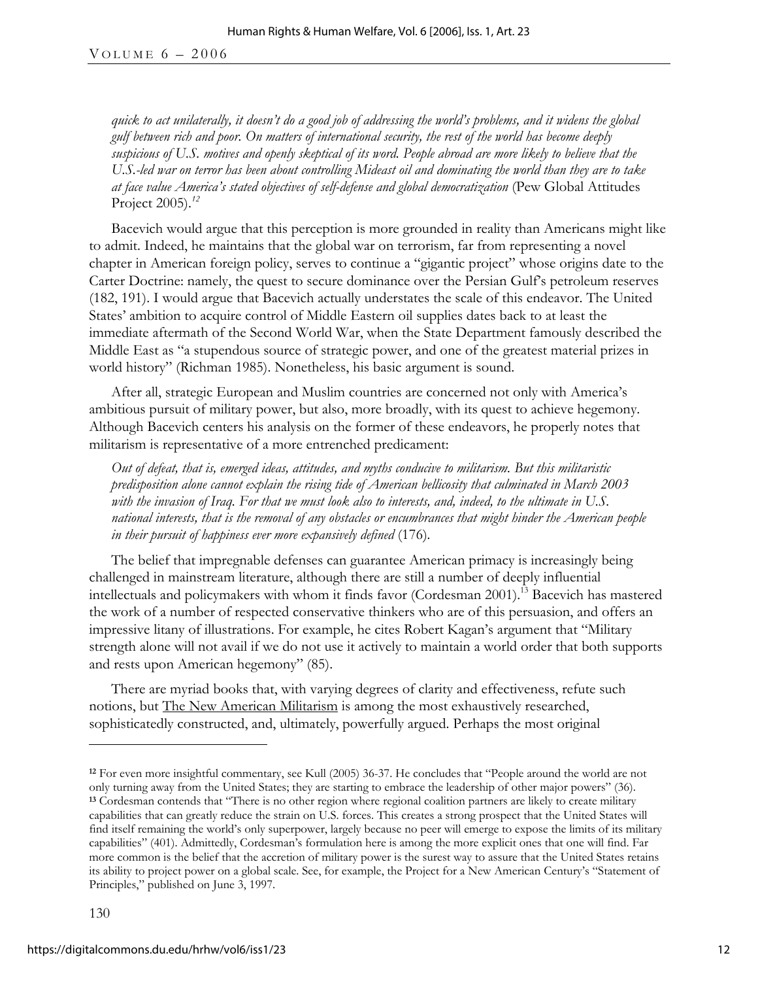VOLUME  $6 - 2006$ 

*quick to act unilaterally, it doesn't do a good job of addressing the world's problems, and it widens the global gulf between rich and poor. On matters of international security, the rest of the world has become deeply suspicious of U.S. motives and openly skeptical of its word. People abroad are more likely to believe that the U.S.-led war on terror has been about controlling Mideast oil and dominating the world than they are to take at face value America's stated objectives of self-defense and global democratization* (Pew Global Attitudes Project 2005).*12* 

Bacevich would argue that this perception is more grounded in reality than Americans might like to admit. Indeed, he maintains that the global war on terrorism, far from representing a novel chapter in American foreign policy, serves to continue a "gigantic project" whose origins date to the Carter Doctrine: namely, the quest to secure dominance over the Persian Gulf's petroleum reserves (182, 191). I would argue that Bacevich actually understates the scale of this endeavor. The United States' ambition to acquire control of Middle Eastern oil supplies dates back to at least the immediate aftermath of the Second World War, when the State Department famously described the Middle East as "a stupendous source of strategic power, and one of the greatest material prizes in world history" (Richman 1985). Nonetheless, his basic argument is sound.

After all, strategic European and Muslim countries are concerned not only with America's ambitious pursuit of military power, but also, more broadly, with its quest to achieve hegemony. Although Bacevich centers his analysis on the former of these endeavors, he properly notes that militarism is representative of a more entrenched predicament:

*Out of defeat, that is, emerged ideas, attitudes, and myths conducive to militarism. But this militaristic predisposition alone cannot explain the rising tide of American bellicosity that culminated in March 2003 with the invasion of Iraq. For that we must look also to interests, and, indeed, to the ultimate in U.S. national interests, that is the removal of any obstacles or encumbrances that might hinder the American people in their pursuit of happiness ever more expansively defined* (176)*.* 

The belief that impregnable defenses can guarantee American primacy is increasingly being challenged in mainstream literature, although there are still a number of deeply influential intellectuals and policymakers with whom it finds favor (Cordesman 2001).<sup>13</sup> Bacevich has mastered the work of a number of respected conservative thinkers who are of this persuasion, and offers an impressive litany of illustrations. For example, he cites Robert Kagan's argument that "Military strength alone will not avail if we do not use it actively to maintain a world order that both supports and rests upon American hegemony" (85).

There are myriad books that, with varying degrees of clarity and effectiveness, refute such notions, but The New American Militarism is among the most exhaustively researched, sophisticatedly constructed, and, ultimately, powerfully argued. Perhaps the most original

**<sup>12</sup>** For even more insightful commentary, see Kull (2005) 36-37. He concludes that "People around the world are not only turning away from the United States; they are starting to embrace the leadership of other major powers" (36). **<sup>13</sup>** Cordesman contends that "There is no other region where regional coalition partners are likely to create military capabilities that can greatly reduce the strain on U.S. forces. This creates a strong prospect that the United States will find itself remaining the world's only superpower, largely because no peer will emerge to expose the limits of its military capabilities" (401). Admittedly, Cordesman's formulation here is among the more explicit ones that one will find. Far more common is the belief that the accretion of military power is the surest way to assure that the United States retains its ability to project power on a global scale. See, for example, the Project for a New American Century's "Statement of Principles," published on June 3, 1997.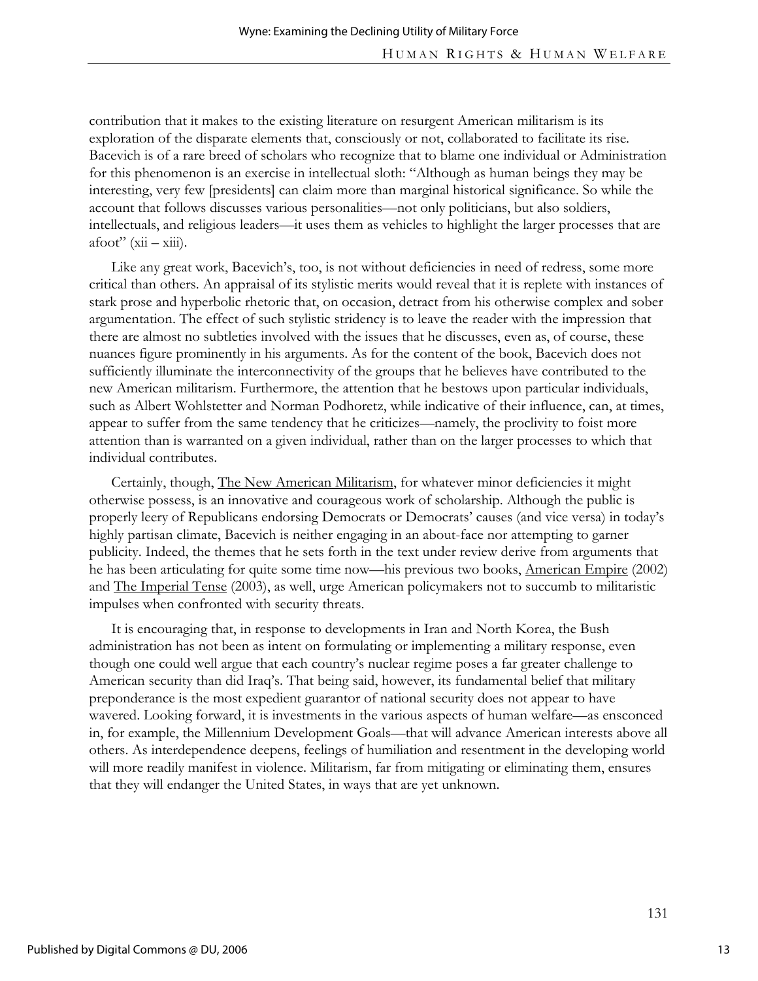contribution that it makes to the existing literature on resurgent American militarism is its exploration of the disparate elements that, consciously or not, collaborated to facilitate its rise. Bacevich is of a rare breed of scholars who recognize that to blame one individual or Administration for this phenomenon is an exercise in intellectual sloth: "Although as human beings they may be interesting, very few [presidents] can claim more than marginal historical significance. So while the account that follows discusses various personalities—not only politicians, but also soldiers, intellectuals, and religious leaders—it uses them as vehicles to highlight the larger processes that are  $afoot'$  ( $xii - xiii$ ).

Like any great work, Bacevich's, too, is not without deficiencies in need of redress, some more critical than others. An appraisal of its stylistic merits would reveal that it is replete with instances of stark prose and hyperbolic rhetoric that, on occasion, detract from his otherwise complex and sober argumentation. The effect of such stylistic stridency is to leave the reader with the impression that there are almost no subtleties involved with the issues that he discusses, even as, of course, these nuances figure prominently in his arguments. As for the content of the book, Bacevich does not sufficiently illuminate the interconnectivity of the groups that he believes have contributed to the new American militarism. Furthermore, the attention that he bestows upon particular individuals, such as Albert Wohlstetter and Norman Podhoretz, while indicative of their influence, can, at times, appear to suffer from the same tendency that he criticizes—namely, the proclivity to foist more attention than is warranted on a given individual, rather than on the larger processes to which that individual contributes.

Certainly, though, The New American Militarism, for whatever minor deficiencies it might otherwise possess, is an innovative and courageous work of scholarship. Although the public is properly leery of Republicans endorsing Democrats or Democrats' causes (and vice versa) in today's highly partisan climate, Bacevich is neither engaging in an about-face nor attempting to garner publicity. Indeed, the themes that he sets forth in the text under review derive from arguments that he has been articulating for quite some time now—his previous two books, American Empire (2002) and The Imperial Tense (2003), as well, urge American policymakers not to succumb to militaristic impulses when confronted with security threats.

It is encouraging that, in response to developments in Iran and North Korea, the Bush administration has not been as intent on formulating or implementing a military response, even though one could well argue that each country's nuclear regime poses a far greater challenge to American security than did Iraq's. That being said, however, its fundamental belief that military preponderance is the most expedient guarantor of national security does not appear to have wavered. Looking forward, it is investments in the various aspects of human welfare—as ensconced in, for example, the Millennium Development Goals—that will advance American interests above all others. As interdependence deepens, feelings of humiliation and resentment in the developing world will more readily manifest in violence. Militarism, far from mitigating or eliminating them, ensures that they will endanger the United States, in ways that are yet unknown.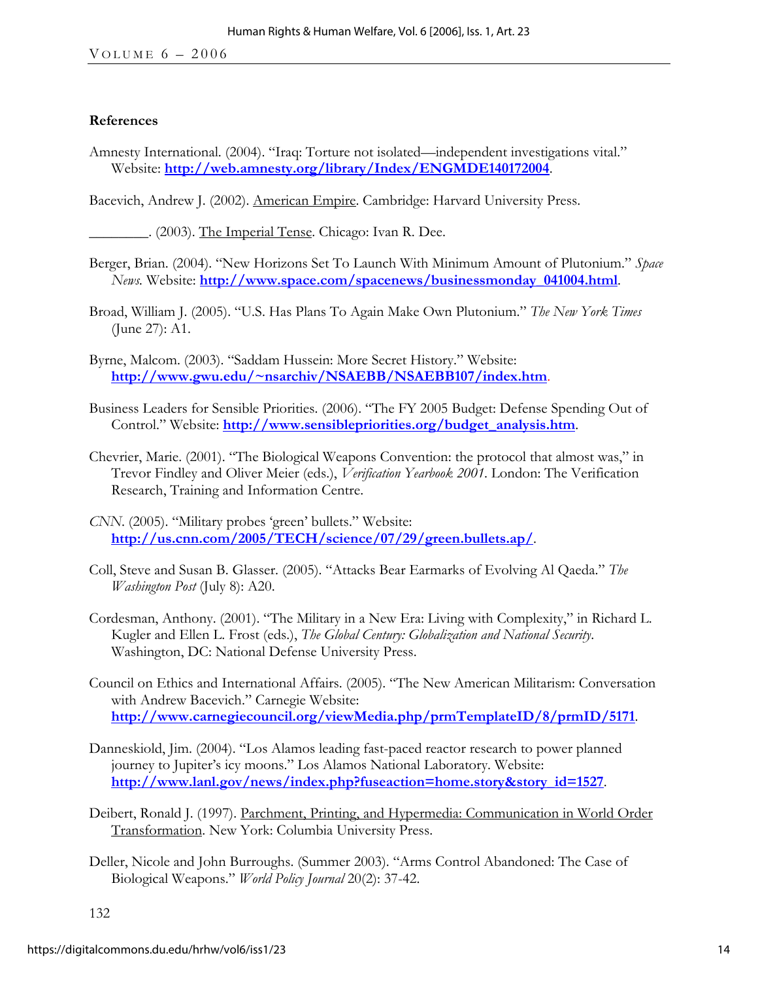#### **References**

Amnesty International. (2004). "Iraq: Torture not isolated—independent investigations vital." Website: **http://web.amnesty.org/library/Index/ENGMDE140172004**.

Bacevich, Andrew J. (2002). American Empire. Cambridge: Harvard University Press.

\_\_\_\_\_\_\_\_. (2003). The Imperial Tense. Chicago: Ivan R. Dee.

- Berger, Brian. (2004). "New Horizons Set To Launch With Minimum Amount of Plutonium." *Space News.* Website: **http://www.space.com/spacenews/businessmonday\_041004.html**.
- Broad, William J. (2005). "U.S. Has Plans To Again Make Own Plutonium." *The New York Times* (June 27): A1.
- Byrne, Malcom. (2003). "Saddam Hussein: More Secret History." Website: **http://www.gwu.edu/~nsarchiv/NSAEBB/NSAEBB107/index.htm**.
- Business Leaders for Sensible Priorities. (2006). "The FY 2005 Budget: Defense Spending Out of Control." Website: **http://www.sensiblepriorities.org/budget\_analysis.htm**.
- Chevrier, Marie. (2001). "The Biological Weapons Convention: the protocol that almost was," in Trevor Findley and Oliver Meier (eds.), *Verification Yearbook 2001*. London: The Verification Research, Training and Information Centre.
- *CNN*. (2005). "Military probes 'green' bullets." Website: **http://us.cnn.com/2005/TECH/science/07/29/green.bullets.ap/**.
- Coll, Steve and Susan B. Glasser. (2005). "Attacks Bear Earmarks of Evolving Al Qaeda." *The Washington Post* (July 8): A20.
- Cordesman, Anthony. (2001). "The Military in a New Era: Living with Complexity," in Richard L. Kugler and Ellen L. Frost (eds.), *The Global Century: Globalization and National Security*. Washington, DC: National Defense University Press.
- Council on Ethics and International Affairs. (2005). "The New American Militarism: Conversation with Andrew Bacevich." Carnegie Website: **http://www.carnegiecouncil.org/viewMedia.php/prmTemplateID/8/prmID/5171**.
- Danneskiold, Jim. (2004). "Los Alamos leading fast-paced reactor research to power planned journey to Jupiter's icy moons." Los Alamos National Laboratory. Website: **http://www.lanl.gov/news/index.php?fuseaction=home.story&story\_id=1527**.
- Deibert, Ronald J. (1997). Parchment, Printing, and Hypermedia: Communication in World Order Transformation. New York: Columbia University Press.
- Deller, Nicole and John Burroughs. (Summer 2003). "Arms Control Abandoned: The Case of Biological Weapons." *World Policy Journal* 20(2): 37-42.

132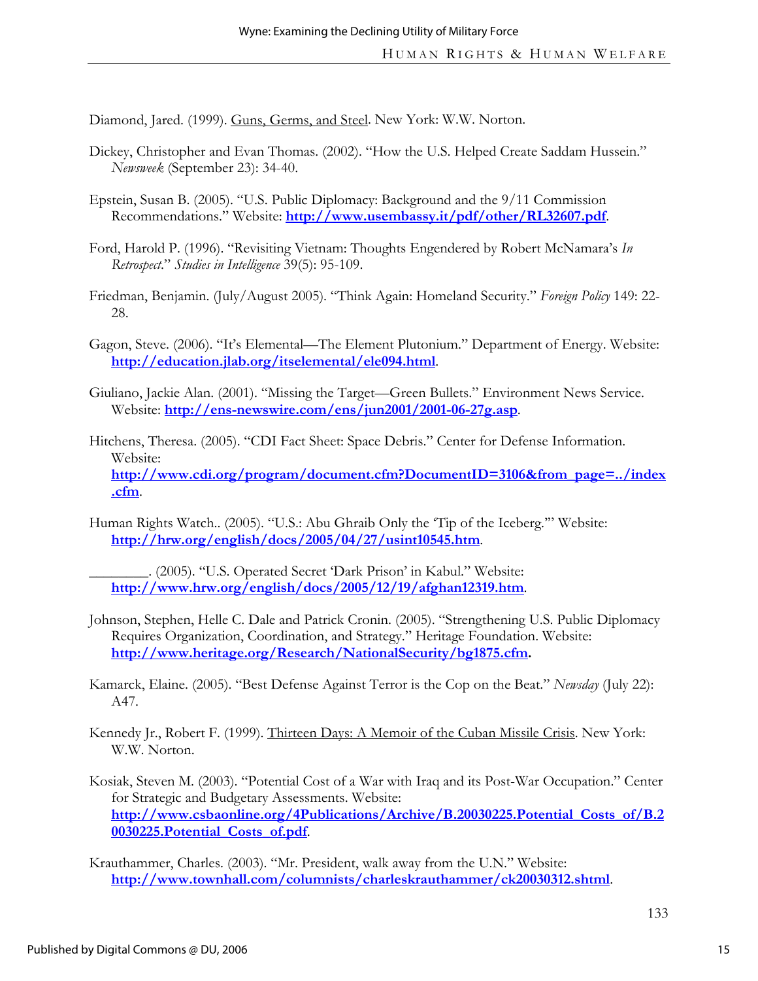Diamond, Jared. (1999). Guns, Germs, and Steel. New York: W.W. Norton.

- Dickey, Christopher and Evan Thomas. (2002). "How the U.S. Helped Create Saddam Hussein." *Newsweek* (September 23): 34-40.
- Epstein, Susan B. (2005). "U.S. Public Diplomacy: Background and the 9/11 Commission Recommendations." Website: **http://www.usembassy.it/pdf/other/RL32607.pdf**.
- Ford, Harold P. (1996). "Revisiting Vietnam: Thoughts Engendered by Robert McNamara's *In Retrospect*." *Studies in Intelligence* 39(5): 95-109.
- Friedman, Benjamin. (July/August 2005). "Think Again: Homeland Security." *Foreign Policy* 149: 22- 28.
- Gagon, Steve. (2006). "It's Elemental—The Element Plutonium." Department of Energy. Website: **http://education.jlab.org/itselemental/ele094.html**.
- Giuliano, Jackie Alan. (2001). "Missing the Target—Green Bullets." Environment News Service. Website: **http://ens-newswire.com/ens/jun2001/2001-06-27g.asp**.
- Hitchens, Theresa. (2005). "CDI Fact Sheet: Space Debris." Center for Defense Information. Website: **http://www.cdi.org/program/document.cfm?DocumentID=3106&from\_page=../index .cfm**.
- Human Rights Watch.. (2005). "U.S.: Abu Ghraib Only the 'Tip of the Iceberg.'" Website: **http://hrw.org/english/docs/2005/04/27/usint10545.htm**.

\_\_\_\_\_\_\_\_. (2005). "U.S. Operated Secret 'Dark Prison' in Kabul." Website: **http://www.hrw.org/english/docs/2005/12/19/afghan12319.htm**.

- Johnson, Stephen, Helle C. Dale and Patrick Cronin. (2005). "Strengthening U.S. Public Diplomacy Requires Organization, Coordination, and Strategy." Heritage Foundation. Website: **http://www.heritage.org/Research/NationalSecurity/bg1875.cfm.**
- Kamarck, Elaine. (2005). "Best Defense Against Terror is the Cop on the Beat." *Newsday* (July 22): A47.
- Kennedy Jr., Robert F. (1999). Thirteen Days: A Memoir of the Cuban Missile Crisis. New York: W.W. Norton.
- Kosiak, Steven M. (2003). "Potential Cost of a War with Iraq and its Post-War Occupation." Center for Strategic and Budgetary Assessments. Website: **http://www.csbaonline.org/4Publications/Archive/B.20030225.Potential\_Costs\_of/B.2 0030225.Potential\_Costs\_of.pdf**.
- Krauthammer, Charles. (2003). "Mr. President, walk away from the U.N." Website: **http://www.townhall.com/columnists/charleskrauthammer/ck20030312.shtml**.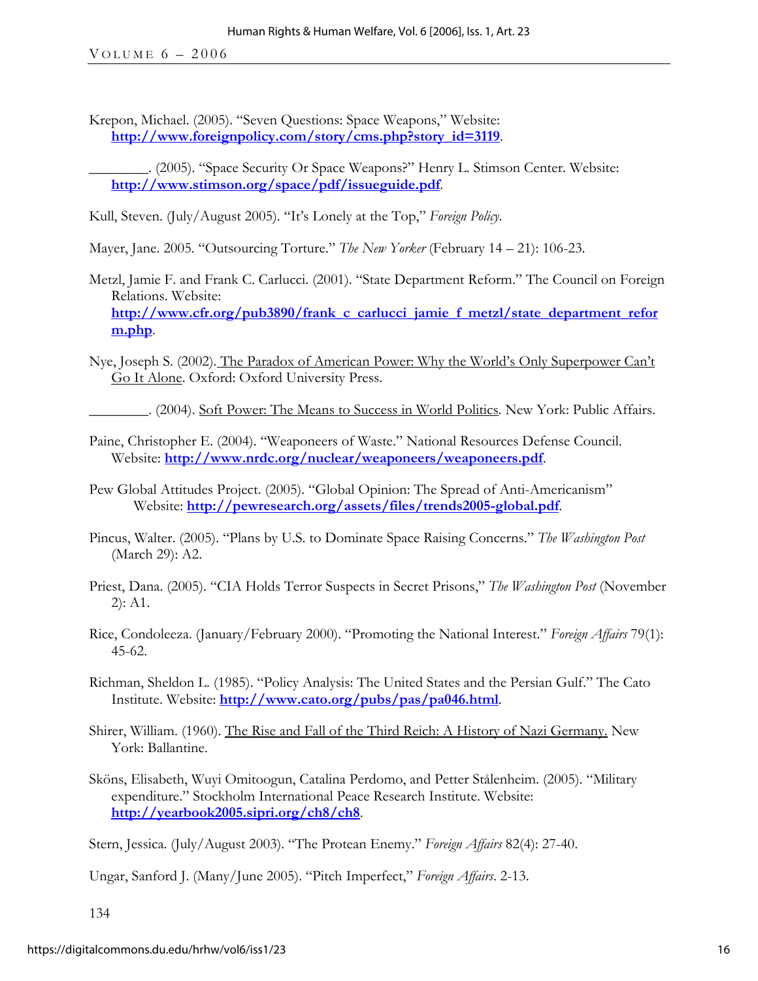Krepon, Michael. (2005). "Seven Questions: Space Weapons," Website: **http://www.foreignpolicy.com/story/cms.php?story\_id=3119**.

\_\_\_\_\_\_\_\_. (2005). "Space Security Or Space Weapons?" Henry L. Stimson Center. Website: **http://www.stimson.org/space/pdf/issueguide.pdf**.

Kull, Steven. (July/August 2005). "It's Lonely at the Top," *Foreign Policy*.

Mayer, Jane. 2005. "Outsourcing Torture." *The New Yorker* (February 14 – 21): 106-23.

- Metzl, Jamie F. and Frank C. Carlucci. (2001). "State Department Reform." The Council on Foreign Relations. Website: **http://www.cfr.org/pub3890/frank\_c\_carlucci\_jamie\_f\_metzl/state\_department\_refor m.php**.
- Nye, Joseph S. (2002). The Paradox of American Power: Why the World's Only Superpower Can't Go It Alone. Oxford: Oxford University Press.

\_\_\_\_\_\_\_\_. (2004). Soft Power: The Means to Success in World Politics. New York: Public Affairs.

- Paine, Christopher E. (2004). "Weaponeers of Waste." National Resources Defense Council. Website: **http://www.nrdc.org/nuclear/weaponeers/weaponeers.pdf**.
- Pew Global Attitudes Project. (2005). "Global Opinion: The Spread of Anti-Americanism" Website: **http://pewresearch.org/assets/files/trends2005-global.pdf**.
- Pincus, Walter. (2005). "Plans by U.S. to Dominate Space Raising Concerns." *The Washington Post* (March 29): A2.
- Priest, Dana. (2005). "CIA Holds Terror Suspects in Secret Prisons," *The Washington Post* (November 2): A1.
- Rice, Condoleeza. (January/February 2000). "Promoting the National Interest." *Foreign Affairs* 79(1): 45-62.
- Richman, Sheldon L. (1985). "Policy Analysis: The United States and the Persian Gulf." The Cato Institute. Website: **http://www.cato.org/pubs/pas/pa046.html**.
- Shirer, William. (1960). The Rise and Fall of the Third Reich: A History of Nazi Germany. New York: Ballantine.
- Sköns, Elisabeth, Wuyi Omitoogun, Catalina Perdomo, and Petter Stålenheim. (2005). "Military expenditure." Stockholm International Peace Research Institute. Website: **http://yearbook2005.sipri.org/ch8/ch8**.

Stern, Jessica. (July/August 2003). "The Protean Enemy." *Foreign Affairs* 82(4): 27-40.

Ungar, Sanford J. (Many/June 2005). "Pitch Imperfect," *Foreign Affairs*. 2-13.

134